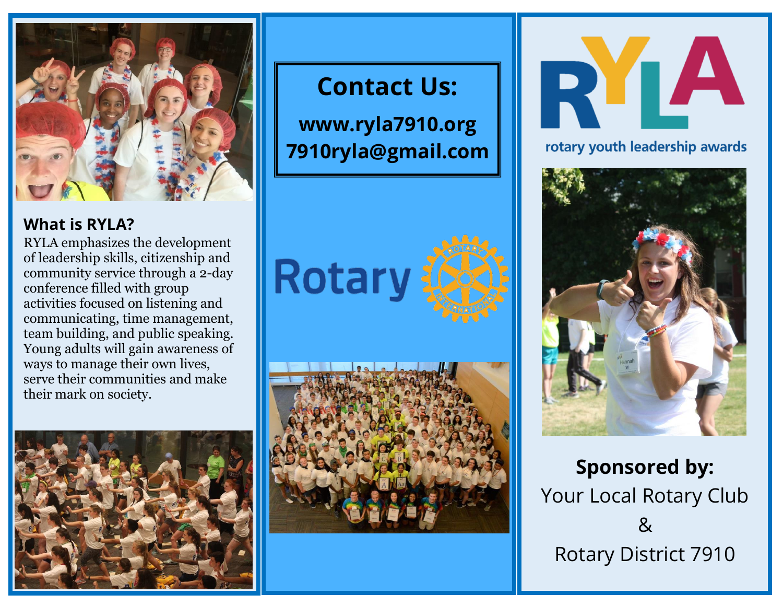

# **What is RYLA?**

RYLA emphasizes the development of leadership skills, citizenship and community service through a 2-day conference filled with group activities focused on listening and communicating, time management, team building, and public speaking. Young adults will gain awareness of ways to manage their own lives, serve their communities and make their mark on society.



# **Contact Us:**

**www.ryla7910.org 7910ryla@gmail.com**







rotary youth leadership awards



**Sponsored by:** Your Local Rotary Club & Rotary District 7910